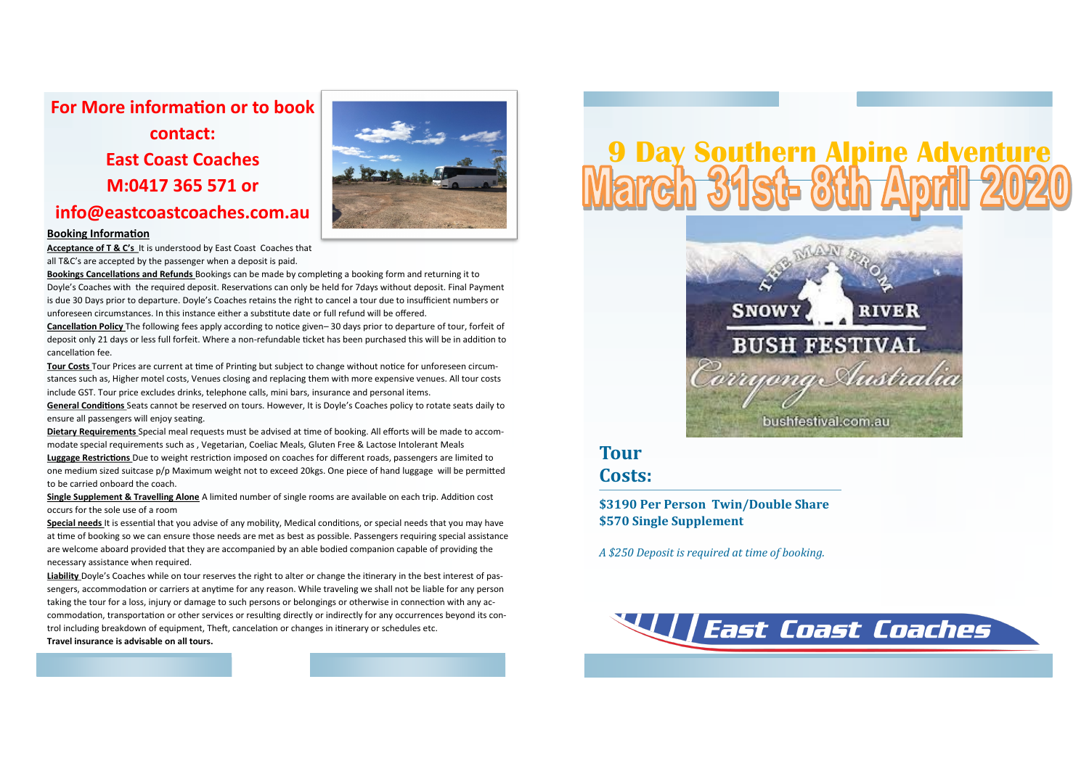## **For More information or to book**

**contact: East Coast Coaches M:0417 365 571 or** 



# **info@eastcoastcoaches.com.au**

#### **Booking Information**

**Acceptance of T & C's** It is understood by East Coast Coaches that all T&C's are accepted by the passenger when a deposit is paid.

**Bookings Cancellations and Refunds** Bookings can be made by completing a booking form and returning it to Doyle's Coaches with the required deposit. Reservations can only be held for 7days without deposit. Final Payment is due 30 Days prior to departure. Doyle's Coaches retains the right to cancel a tour due to insufficient numbers or unforeseen circumstances. In this instance either a substitute date or full refund will be offered.

**Cancellation Policy** The following fees apply according to notice given– 30 days prior to departure of tour, forfeit of deposit only 21 days or less full forfeit. Where a non-refundable ticket has been purchased this will be in addition to cancellation fee.

**Tour Costs** Tour Prices are current at time of Printing but subject to change without notice for unforeseen circumstances such as, Higher motel costs, Venues closing and replacing them with more expensive venues. All tour costs include GST. Tour price excludes drinks, telephone calls, mini bars, insurance and personal items.

**General Conditions** Seats cannot be reserved on tours. However, It is Doyle's Coaches policy to rotate seats daily to ensure all passengers will enjoy seating.

**Dietary Requirements** Special meal requests must be advised at time of booking. All efforts will be made to accommodate special requirements such as , Vegetarian, Coeliac Meals, Gluten Free & Lactose Intolerant Meals **Luggage Restrictions** Due to weight restriction imposed on coaches for different roads, passengers are limited to one medium sized suitcase p/p Maximum weight not to exceed 20kgs. One piece of hand luggage will be permitted to be carried onboard the coach.

**Single Supplement & Travelling Alone** A limited number of single rooms are available on each trip. Addition cost occurs for the sole use of a room

**Special needs** It is essential that you advise of any mobility, Medical conditions, or special needs that you may have at time of booking so we can ensure those needs are met as best as possible. Passengers requiring special assistance are welcome aboard provided that they are accompanied by an able bodied companion capable of providing the necessary assistance when required.

**Liability** Doyle's Coaches while on tour reserves the right to alter or change the itinerary in the best interest of passengers, accommodation or carriers at anytime for any reason. While traveling we shall not be liable for any person taking the tour for a loss, injury or damage to such persons or belongings or otherwise in connection with any accommodation, transportation or other services or resulting directly or indirectly for any occurrences beyond its control including breakdown of equipment, Theft, cancelation or changes in itinerary or schedules etc. **Travel insurance is advisable on all tours.**

# **9 Day Southern Alpine Adventure<br>Mairch 31st- 01h April 202**



### **Tour Costs:**

**\$3190 Per Person Twin/Double Share \$570 Single Supplement**

*A \$250 Deposit is required at time of booking.*

**Weast Coast Coaches**